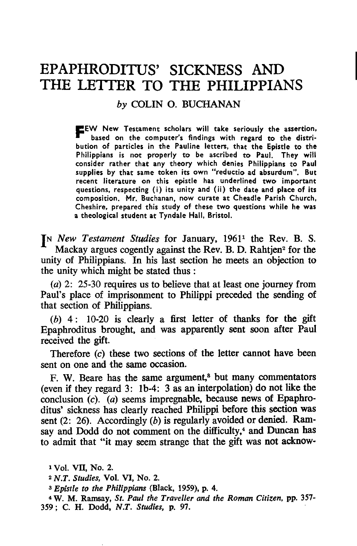# **EPAPHRODITUS' SICKNESS AND THE LETTER TO THE PHILIPPIANS**

## *by* COLIN O. BUCHANAN

**FEW** New Testament scholars will take seriously the assertion, based on the computer's findings with regard to the distribution of particles in the Pauline letters, that the Epistle to the Philippians is not properly to be ascribed to Paul. They will consider rather that any theory which denies Philippians to Paul supplies by that same token its own "reductio ad absurdum". But recent literature on this epistle has underlined two important questions, respecting (i) its unity and (ii) the date and place of its composition. Mr. Buchanan. now curate at Cheadle' Parish Church, Cheshire. prepared this study of these two questions while he was a theological student at Tyndale Hall. Bristol.

IN *New Testament Studies* for January, 1961<sup>1</sup> the Rev. B. S. Mackay argues cogently against the Rev. B. D. Rahtjen<sup>2</sup> for the unity of Philippians. In his last section he meets an objection to the unity which might be stated thus:

(a) 2: 25-30 requires us to believe that at least one journey from Paul's place of imprisonment to Philippi preceded the sending of that section of Philippians.

 $(b)$  4: 10-20 is clearly a first letter of thanks for the gift Epaphroditus brought, and was apparently sent soon after Paul received the gift.

Therefore (c) these two sections of the letter cannot have been sent on one and the same occasion.

F. W. Beare has the same argument,<sup>8</sup> but many commentators (even if they regard 3: Ib-4: 3 as an interpolation) do not like the conclusion (c). (a) seems impregnable, because news of Epaphroditus' sickness has clearly reached Philippi before this section was sent (2: 26). Accordingly (b) is regularly avoided or denied. Ramsay and Dodd do not comment on the difficulty,<sup>4</sup> and Duncan has to admit that "it may seem strange that the gift was not acknow-

a *Epistle to the Philippians* (Black, 1959), p. 4.

4 W. M. Ramsay, *St. Paul the Traveller and the Roman Citizen,* pp. 357- 359; C. H. Dodd, *N.T. Studies,* p. 97.

<sup>1</sup> Vol. VII, No. 2.

<sup>2</sup>*N.T. Studies,* Vol. VI, No. 2.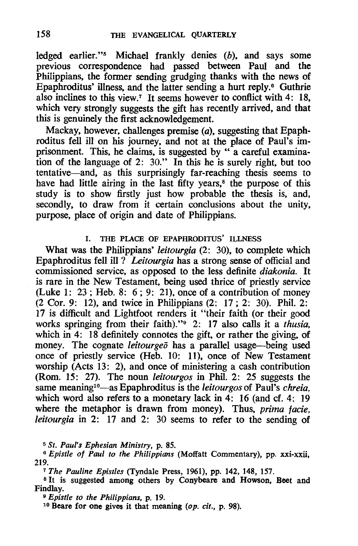ledged earlier."s Michael frankly denies (b). and says some previous correspondence had passed between Paul and the Philippians. the former sending grudging thanks with the news of Epaphroditus' illness, and the latter sending a hurt reply.<sup>6</sup> Guthrie also inclines to this view.<sup>7</sup> It seems however to conflict with 4: 18. which very strongly suggests the gift has recently arrived. and that this is genuinely the first acknowledgement.

Mackay. however. challenges premise (a). suggesting that Epaphroditus fell ill on his journey. and not at the place of Paul's imprisonment. This. he claims. is suggested by " a careful examination of the language of 2: 30." In this he is surely right, but too tentative-and. as this surprisingly far-reaching thesis seems to have had little airing in the last fifty years,<sup>8</sup> the purpose of this study is to show firstly just how probable the thesis is, and. secondly. to draw from it certain conclusions about the unity. purpose, place of origin and date of Philippians.

### I. THE PLACE OF EPAPHRODlTUS' ILLNESS

What was the Philippians' *leitourgia* (2: 30). to complete which Epaphroditus fell ill? *Leitourgia* has a strong sense of official and commissioned service, as opposed to the less definite *diakonia.* It is rare in the New Testament, being used thrice of priestly service (Luke 1: 23; Heb. 8: 6; 9: 21), once of a contribution of money (2 Cor. 9: 12), and twice in Philippians (2: 17; 2: 30). Phil. 2: 17 is difficult and Lightfoot renders it "their faith (or their good works springing from their faith)."<sup>9</sup> 2: 17 also calls it a *thusia*, which in 4: 18 definitely connotes the gift, or rather the giving, of money. The cognate *leitourgeo* has a parallel usage-being used once of priestly service (Heb. 10: 11). once of New Testament worship (Acts 13: 2), and once of ministering a cash contribution (Rom. 15: 27). The noun *leitourgos* in Phil. 2: 25 suggests the same meaning<sup>10</sup>—as Epaphroditus is the *leitourgos* of Paul's *chreia*, which word also refers to a monetary lack in 4: 16 (and cf. 4: 19 where the metaphor is drawn from money). Thus, *prima facie*, *leitourgia* in 2: 17 and 2: 30 seems to refer to the sending of

<sup>5</sup>*St. Paul's Ephesian Ministry,* p. 85.

*6 Epistle of Paul to the Philippians* (Moffatt Commentary), pp. xxi-xxii. 219.

<sup>7</sup>*The Pauline Epistles* (Tyndale Press, 1961), pp. 142, 148, 157.

<sup>8</sup> It is suggested among others by Conybeare and Howson. Beet and Findlay.

<sup>9</sup>*Epistle to the Philippians,* p. 19.

10 Beare for one gives it that meaning *(op. cit.,* p. 98).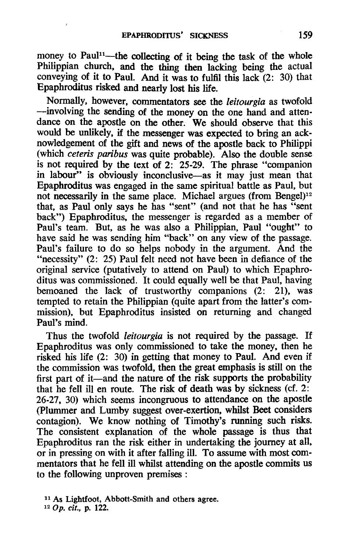money to Paul<sup>11</sup>—the collecting of it being the task of the whole Philippian church, and the thing then lacking being the actual conveying of it to Paul. And it was to fulfil this lack (2: 30) that Epaphroditus risked and nearly lost his life.

Normally, however, commentators see the *leitourgia* as twofold -involving the sending of the money on the one hand and attendance on the apostle on the other. We should observe that this would be unlikely, if the messenger was expected to bring an acknowledgement of the gift and news of the apostle back to Philippi (which *ceteris paribus* was quite probable). Also the double sense is not required by the text of  $2: 25-29$ . The phrase "companion" in labour" is obviously inconclusive-as it may just mean that Epaphroditus was engaged in the same spiritual battle as Paul, but not necessarily in the same place. Michael argues (from Bengel)<sup>12</sup> that, as Paul only says he has "sent" (and not that he has "sent back") Epaphroditus, the messenger is regarded as a member of Paul's team. But, as he was also a Philippian, Paul "ought" to have said he was sending him "back" on any view of the passage. Paul's failure to do so helps nobody in the argument. And the "necessity" (2: 25) Paul felt need not have been in defiance of the original service (putatively to attend on Paul) to which Epaphroditus was commissioned. It could equally well be that Paul, having bemoaned the lack of trustworthy companions (2: 21), was tempted to retain the Philippian (quite apart from the latter's commission), but Epaphroditus insisted on returning and changed Paul's mind.

Thus the twofold *leitourgia* is not required by the passage. If Epaphroditus was only commissioned to take the money, then he risked his life (2: 30) in getting that money to Paul. And even if the commission was twofold, then the great emphasis is still on the first part of it—and the nature of the risk supports the probability that he fell ill en route. The risk of death was by sickness (cf. 2: 26-27, 30) which seems incongruous to attendance on the apostle (Plummer and Lumby suggest over-exertion, whilst Beet considers contagion). We know nothing of Timothy's running such risks. The consistent explanation of the whole passage is thus that Epaphroditus ran the risk either in undertaking the journey at all, or in pressing on with it after falling ill. To assume with most commentators that he fell ill whilst attending on the apostle commits us to the following unproven premises :

<sup>11</sup> As Lightfoot, Abbott-Smith and others agree. 120p. *cit.,* p. 122.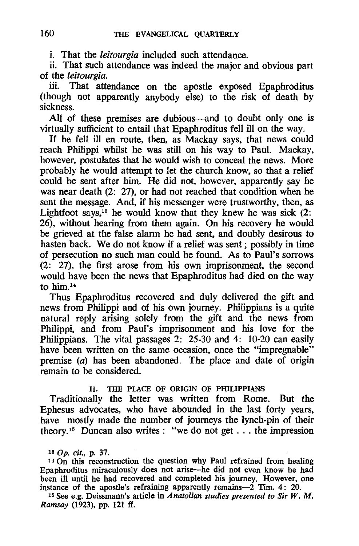i. That the *leitourgia* included such attendance.

ii. That such attendance was indeed the major and obvious part of the *leitourgia.* 

iii. That attendance on the apostle exposed Epaphroditus (though not apparently anybody else) to the risk of death by sickness.

All of these premises are dubious—and to doubt only one is virtually sufficient to entail that Epaphroditus fell ill on the way.

If he fell ill en route, then, as Mackay says, that news could reach Philippi whilst he was still on his way to Paul. Mackay, however, postulates that he would wish to conceal the news. More probably he would attempt to let the church know, so that a relief could be sent after him. He did not, however, apparently say he was near death (2: 27), or had not reached that condition when he sent the message. And, if his messenger were trustworthy, then, as Lightfoot says,<sup>18</sup> he would know that they knew he was sick  $(2)$ : 26), without hearing from them again. On his recovery he would be grieved at the false alarm he had sent, and doubly desirous to hasten back. We do not know if a relief was sent; possibly in time of persecution no such man could be found. As to Paul's sorrows (2: 27), the first arose from his own imprisonment, the second would have been the news that Epaphroditus had died on the way to  $him.14$ 

Thus Epaphroditus recovered and duly delivered the gift and news from Philippi and of his own journey. Philippians is a quite natural reply arising solely from the gift and the news from Philippi, and from Paul's imprisonment and his love for the Philippians. The vital passages 2: 25-30 and 4: 10-20 can easily have been written on the same occasion, once the "impregnable" premise (a) has been abandoned. The place and date of origin remain to be considered.

#### H. THE PLACE OF ORIGIN OF PHILlPPIANS

Traditionally the letter was written from Rome. But the Ephesus advocates, who have abounded in the last forty years, have mostly made the number of journeys the lynch-pin of their theory.<sup>15</sup> Duncan also writes: "we do not get . . . the impression

<sup>14</sup> On this reconstruction the question why Paul refrained from healing Epaphroditus miraculously does not arise-he did not even know he had been ill until he had recovered and completed his journey. However, one instance of the apostle's refraining apparently remains-2 Tim. 4: 20.

15 See e.g. Deissmann's article in *Anatolian studies presented to Sir W.* M. *Ramsay* (1923), pp. 121 ff.

<sup>180</sup>p. *cit.,* p. 37.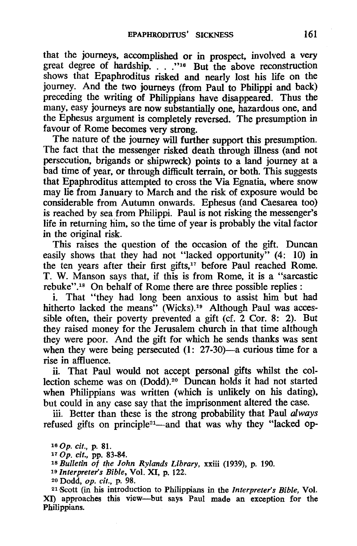that the journeys, accomplished or in prospect, involved a very great degree of hardship. . . . "<sup>16</sup> But the above reconstruction shows that Epaphroditus risked and nearly lost his life on the journey. And the two journeys (from Paul to Philippi and back) preceding the writing of Philippians have disappeared. Thus the many. easy journeys are now substantially one. hazardous one. and the Ephesus argument is completely reversed. The presumption in favour of Rome becomes very strong.

The nature of the journey will further support this presumption. The fact that the messenger risked death through illness (and not persecution. brigands or shipwreck) points to a land journey at a bad time of year, or through difficult terrain, or both. This suggests that Epaphroditus attempted to cross the Via Egnatia. where snow may lie from January to March and the risk of exposure would be considerable from Autumn onwards. Ephesus (and Caesarea too) is reached by sea from Philippi. Paul is not risking the messenger's life in returning him. so the time of year is probably the vital factor in the original risk.

This raises the question of the occasion of the gift. Duncan easily shows that they had not "lacked opportunity" (4: 10) in the ten years after their first gifts,<sup>17</sup> before Paul reached Rome. T. W. Manson says that, if this is from Rome. it is a "sarcastic rebuke".18 On behalf of Rome there are three possible replies:

i. That "they had long been anxious to assist him but had hitherto lacked the means" (Wicks).<sup>19</sup> Although Paul was accessible often. their poverty prevented a gift (cf. 2 Cor. 8: 2). But they raised money for the Jerusalem church in that time although they were poor. And the gift for which he sends thanks was sent when they were being persecuted  $(1: 27-30)$ —a curious time for a rise in affluence.

ii. That Paul would not accept personal gifts whilst the collection scheme was on (Dodd).20 Duncan holds it had not started when Philippians was written (which is unlikely on his dating). but could in any case say that the imprisonment altered the case.

iii. Better than these is the strong probability that Paul *always*  refused gifts on principle<sup>21</sup>—and that was why they "lacked op-

180p. *cit.,* p. 81.

<sup>17</sup>Op. *cit.,* pp. 83-84.

<sup>18</sup>*Bulletin of the John Rylands Library,* xxiii (1939). p. 190.

*19 Interpreters Bible,* Vol. XI. p. 122.

20 Dodd. *op. cit.,* p. 98.

21 Scott (in his introduction to Philippians in the *Interpreter's Bible,* Vot. XI) approaches this view-but says Paul made an exception for the Philippians.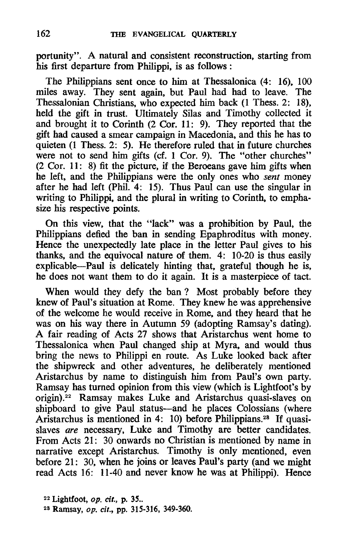portunity". A natural and consistent reconstruction. starting from his first departure from Philippi. is as follows :

The Philippians sent once to him at Thessalonica (4: 16). 100 miles away. They sent again. but Paul had had to leave. The Thessalonian Christians. who expected him back (l Thess. 2: 18). held the gift in trust. Ultimately Silas and Timothy collected it and brought it to Corinth (2 Cor. 11: 9). They reported that the gift had caused a smear campaign in Macedonia. and this he has to quieten (1 Thess. 2: 5). He therefore ruled that in future churches were not to send him gifts (cf. 1 Cor. 9). The "other churches" (2 Cor. 11: 8) fit the picture. if the Beroeans gave him gifts when he left. and the Philippians were the only ones who *sent* money after he had left (Phil. 4: 15). Thus Paul can use the singular in writing to Philippi. and the plural in writing to Corinth. to emphasize his respective points.

On this view. that the "lack" was a prohibition by Paul. the Philippians defied the ban in sending Epaphroditus with money. Hence the unexpectedly late place in the letter Paul gives to his thanks. and the equivocal nature of them. 4: 10-20 is thus easily explicable-Paul is delicately hinting that. grateful though he is. he does not want them to do it again. It is a masterpiece of tact.

When would they defy the ban? Most probably before they knew of Paul's situation at Rome. They knew he was apprehensive of the welcome he would receive in Rome. and they heard that he was on his way there in Autumn 59 (adopting Ramsay's dating). A fair reading of Acts 27 shows that Aristarchus went home to Thessalonica when Paul changed ship at Myra. and would thus bring the news to Philippi en route. As Luke looked back after the shipwreck and other adventures. he deliberately mentioned Aristarchus by name to distinguish him from Paul's own party. Ramsay has turned opinion from this view (which is Lightfoot's by origin). 22 Ramsay makes Luke and Aristarchus quasi-slaves on shipboard to give Paul status-and he places Colossians (where Aristarchus is mentioned in 4: 10) before Philippians.28 If quasislaves *are* necessary, Luke and Timothy are better candidates. From Acts 21: 30 onwards no Christian is mentioned by name in narrative except Aristarchus. Timothy is only mentioned. even before 21: 30. when he joins or leaves Paul's party (and we might read Acts 16: 11-40 and never know he was at Philippi). Hence

<sup>22</sup> Lightfoot, *op. cit.*, p. 35.. 23 Ramsay. op. *ell.,* pp. 315-316. 349-360.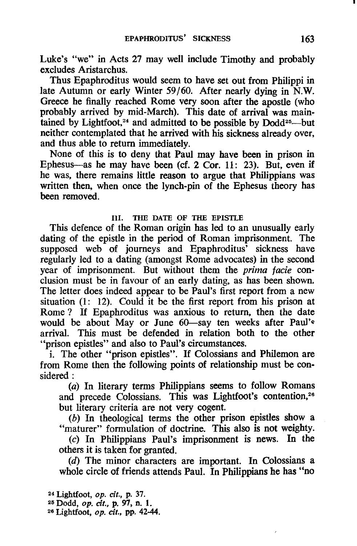Luke's "we" in Acts 27 may well include Timothy and probably excludes Aristarchus.

Thus Epaphroditus would seem to have set out from Philippi in late Autumn or early Winter 59/60. After nearly dying in N.W. Greece he finally reached Rome very soon after the apostle (who probably arrived by mid-March). This date of arrival was maintained by Lightfoot,<sup>24</sup> and admitted to be possible by  $Dodd^{25}$ --but neither contemplated that he arrived with his sickness already over, and thus able to return immediately.

None of this is to deny that Paul may have been in prison in Ephesus-as he may have been (cf. 2 Cor. 11: 23). But, even if he was, there remains little reason to argue that Philippians was written then, when once the lynch-pin of the Ephesus theory has been removed.

#### Ill. THE DATE OF THE EPISTLE

This defence of the Roman origin has led to an unusually early dating of the epistle in the period of Roman imprisonment. The supposed web of journeys and Epaphroditus' sickness have regularly led to a dating (amongst Rome advocates) in the second year of imprisonment. But without them the prima facie conclusion must be in favour of an early dating, as has been shown. The letter does indeed appear to be Paul's first report from a new situation (1: 12). Could it be the first report from his prison at Rome? If Epaphroditus was anxious to return, then the date would be about May or June 60-say ten weeks after Paul's arrival. This must be defended in relation both to the other "prison epistles" and also to Paul's circumstances.

i. The other "prison epistles". If Colossians and Philemon are from Rome then the following points of relationship must be considered:

(a) In literary terms Philippians seems to follow Romans and precede Colossians. This was Lightfoot's contention,<sup>26</sup> but literary criteria are not very cogent.

(b) In theological terms the other prison epistles show a "maturer" formulation of doctrine. This also is not weighty.

(c) In Philippians Paul's imprisonment is news. In the others it is taken for granted.

(d) The minor characters are important. In Colossians a whole circle of friends attends Paul. In Philippians he has "no

24 Lightfoot, op. *cit.,* p. 37.

25 Dodd, op. *cit.,* p. 97, n. 1.

26 Lightfoot, op. cit., pp. 42-44.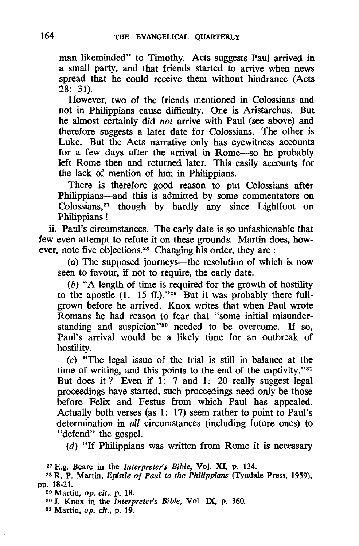man likeminded" to Timothy. Acts suggests Paul arrived in a small party. and that friends started to arrive when news spread that he could receive them without hindrance (Acts 28: 31).

However. two of the friends mentioned in Colossians and not in Philippians cause difficulty. One is Aristarchus. But he almost certainly did *not* arrive with Paul (see above) and therefore suggests a later date for Colossians. The other is Luke. But the Acts narrative only has eyewitness accounts for a few days after the arrival in Rome-so he probably left Rome then and returned later. This easily accounts for the lack of mention of him in Philippians.

There is therefore good reason to put Colossians after Philippians-and this is admitted by some commentators on Colossians.27 though by hardly any since Lightfoot on Philippians !

ii. Paul's circumstances. The early date is so unfashionable that few even attempt to refute it on these grounds. Martin does, however, note five objections.<sup>28</sup> Changing his order, they are :

(a) The supposed journeys—the resolution of which is now seen to favour. if not to require. the early date.

(b) "A length of time is required for the growth of hostility to the apostle  $(1: 15 \text{ ff.})$ ."<sup>29</sup> But it was probably there fullgrown before he arrived. Knox writes that when Paul wrote Romans he had reason to fear that "some initial misunderstanding and suspicion"<sup>30</sup> needed to be overcome. If so, Paul's arrival would be a likely time for an outbreak of hostility.

(c) "The legal issue of the trial is still in balance at the time of writing, and this points to the end of the captivity."<sup>31</sup> But does it? Even if 1: 7 and 1: 20 really suggest legal proceedings have started. such proceedings need only be those before Felix and Festus from which Paul has appealed. Actually both verses (as 1: 17) seem rather to point to Paul's determination in *all* circumstances (including future ones) to "defend" the gospel.

(d) "If Philippians was written from Rome it is necessary

27 E.g. Beare in the *Interpreters Bible,* Vol. XI. p. 134.

28 R. P. Martin, *Epistle Of Paul to the Philippians* (Tyndale Press, 1959), pp. 18-21.

29 Martin, *op. cit.,* p. 18. 30 J. Knox in the *Interpreter's Bible,* Vol. IX, p. 360.

81 Martin, *op. cit.,* p. 19.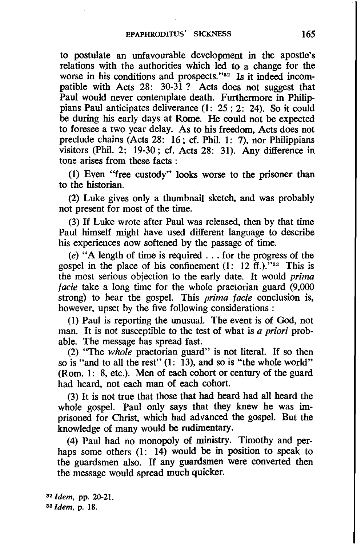to postulate an unfavourable development in the apostle's relations with the authorities which led to a change for the worse in his conditions and prospects."<sup>32</sup> Is it indeed incompatible with Acts 28: 30-31? Acts does not suggest that Paul would never contemplate death. Furthermore in Philippians Paul anticipates deliverance (1: 25; 2: 24). So it could be during his early days at Rome. He could not be expected to foresee a two year delay. As to his freedom, Acts does not preclude chains (Acts 28: 16; cf. Phil. 1: 7), nor Philippians visitors (Phil. 2: 19-30; cf. Acts 28: 31). Any difference in tone arises from these facts :

(1) Even ''free custody" looks worse to the prisoner than to the historian.

(2) Luke gives only a thumbnail sketch, and was probably not present for most of the time.

(3) If Luke wrote after Paul was released, then by that time Paul himself might have used different language to describe his experiences now softened by the passage of time.

 $(e)$  "A length of time is required . . . for the progress of the gospel in the place of his confinement  $(1: 12 \text{ ft.})$ ."<sup>33</sup> This is the most serious objection to the early date. It would *prima facie* take a long time for the whole praetorian guard (9,000 strong) to hear the gospel. This *prima facie* conclusion is, however, upset by the five following considerations :

(1) Paul is reporting the unusual. The event is of God, not man. It is not susceptible to the test of what is *a priori* probable. The message has spread fast.

(2) "The *whole* praetorian guard" is not literal. If so then so is "and to all the rest" (1: 13), and so is "the whole world" (Rom. 1: 8, etc.). Men of each cohort or century of the guard had heard, not each man of each cohort.

(3) It is not true that those that had heard had all heard the whole gospel. Paul only says that they knew he was imprisoned for Christ, which had advanced the gospel. But the knowledge of many would be rudimentary.

(4) Paul had no monopoly of ministry. Timothy and perhaps some others (1: 14) would be in position to speak to the guardsmen also. If any guardsmen were converted then the message would spread much quicker.

*32 Idem,* pp. 20-21. 113 *Idem,* p. 18.